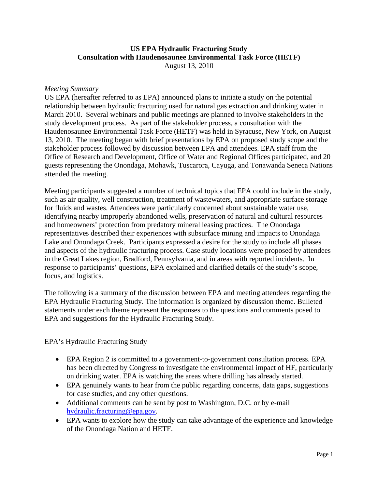# **US EPA Hydraulic Fracturing Study Consultation with Haudenosaunee Environmental Task Force (HETF)**

August 13, 2010

#### *Meeting Summary*

US EPA (hereafter referred to as EPA) announced plans to initiate a study on the potential relationship between hydraulic fracturing used for natural gas extraction and drinking water in March 2010. Several webinars and public meetings are planned to involve stakeholders in the study development process. As part of the stakeholder process, a consultation with the Haudenosaunee Environmental Task Force (HETF) was held in Syracuse, New York, on August 13, 2010. The meeting began with brief presentations by EPA on proposed study scope and the stakeholder process followed by discussion between EPA and attendees. EPA staff from the Office of Research and Development, Office of Water and Regional Offices participated, and 20 guests representing the Onondaga, Mohawk, Tuscarora, Cayuga, and Tonawanda Seneca Nations attended the meeting.

Meeting participants suggested a number of technical topics that EPA could include in the study, such as air quality, well construction, treatment of wastewaters, and appropriate surface storage for fluids and wastes. Attendees were particularly concerned about sustainable water use, identifying nearby improperly abandoned wells, preservation of natural and cultural resources and homeowners' protection from predatory mineral leasing practices. The Onondaga representatives described their experiences with subsurface mining and impacts to Onondaga Lake and Onondaga Creek. Participants expressed a desire for the study to include all phases and aspects of the hydraulic fracturing process. Case study locations were proposed by attendees in the Great Lakes region, Bradford, Pennsylvania, and in areas with reported incidents. In response to participants' questions, EPA explained and clarified details of the study's scope, focus, and logistics.

The following is a summary of the discussion between EPA and meeting attendees regarding the EPA Hydraulic Fracturing Study. The information is organized by discussion theme. Bulleted statements under each theme represent the responses to the questions and comments posed to EPA and suggestions for the Hydraulic Fracturing Study.

#### EPA's Hydraulic Fracturing Study

- EPA Region 2 is committed to a government-to-government consultation process. EPA has been directed by Congress to investigate the environmental impact of HF, particularly on drinking water. EPA is watching the areas where drilling has already started.
- EPA genuinely wants to hear from the public regarding concerns, data gaps, suggestions for case studies, and any other questions.
- Additional comments can be sent by post to Washington, D.C. or by e-mail hydraulic.fracturing@epa.gov.
- EPA wants to explore how the study can take advantage of the experience and knowledge of the Onondaga Nation and HETF.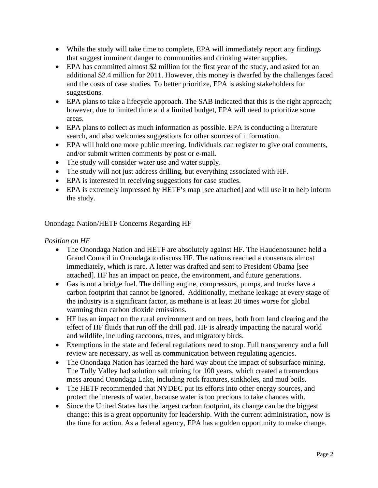- While the study will take time to complete, EPA will immediately report any findings that suggest imminent danger to communities and drinking water supplies.
- EPA has committed almost \$2 million for the first year of the study, and asked for an additional \$2.4 million for 2011. However, this money is dwarfed by the challenges faced and the costs of case studies. To better prioritize, EPA is asking stakeholders for suggestions.
- EPA plans to take a lifecycle approach. The SAB indicated that this is the right approach; however, due to limited time and a limited budget, EPA will need to prioritize some areas.
- EPA plans to collect as much information as possible. EPA is conducting a literature search, and also welcomes suggestions for other sources of information.
- EPA will hold one more public meeting. Individuals can register to give oral comments, and/or submit written comments by post or e-mail.
- The study will consider water use and water supply.
- The study will not just address drilling, but everything associated with HF.
- EPA is interested in receiving suggestions for case studies.
- EPA is extremely impressed by HETF's map [see attached] and will use it to help inform the study.

# Onondaga Nation/HETF Concerns Regarding HF

## *Position on HF*

- The Onondaga Nation and HETF are absolutely against HF. The Haudenosaunee held a Grand Council in Onondaga to discuss HF. The nations reached a consensus almost immediately, which is rare. A letter was drafted and sent to President Obama [see attached]. HF has an impact on peace, the environment, and future generations.
- Gas is not a bridge fuel. The drilling engine, compressors, pumps, and trucks have a carbon footprint that cannot be ignored. Additionally, methane leakage at every stage of the industry is a significant factor, as methane is at least 20 times worse for global warming than carbon dioxide emissions.
- HF has an impact on the rural environment and on trees, both from land clearing and the effect of HF fluids that run off the drill pad. HF is already impacting the natural world and wildlife, including raccoons, trees, and migratory birds.
- Exemptions in the state and federal regulations need to stop. Full transparency and a full review are necessary, as well as communication between regulating agencies.
- The Onondaga Nation has learned the hard way about the impact of subsurface mining. The Tully Valley had solution salt mining for 100 years, which created a tremendous mess around Onondaga Lake, including rock fractures, sinkholes, and mud boils.
- The HETF recommended that NYDEC put its efforts into other energy sources, and protect the interests of water, because water is too precious to take chances with.
- Since the United States has the largest carbon footprint, its change can be the biggest change: this is a great opportunity for leadership. With the current administration, now is the time for action. As a federal agency, EPA has a golden opportunity to make change.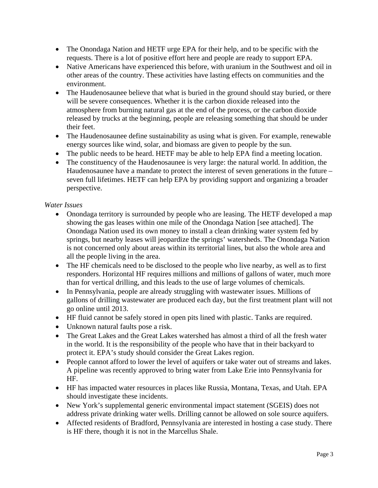- The Onondaga Nation and HETF urge EPA for their help, and to be specific with the requests. There is a lot of positive effort here and people are ready to support EPA.
- Native Americans have experienced this before, with uranium in the Southwest and oil in other areas of the country. These activities have lasting effects on communities and the environment.
- The Haudenosaunee believe that what is buried in the ground should stay buried, or there will be severe consequences. Whether it is the carbon dioxide released into the atmosphere from burning natural gas at the end of the process, or the carbon dioxide released by trucks at the beginning, people are releasing something that should be under their feet.
- The Haudenosaunee define sustainability as using what is given. For example, renewable energy sources like wind, solar, and biomass are given to people by the sun.
- The public needs to be heard. HETF may be able to help EPA find a meeting location.
- The constituency of the Haudenosaunee is very large: the natural world. In addition, the Haudenosaunee have a mandate to protect the interest of seven generations in the future – seven full lifetimes. HETF can help EPA by providing support and organizing a broader perspective.

# *Water Issues*

- Onondaga territory is surrounded by people who are leasing. The HETF developed a map showing the gas leases within one mile of the Onondaga Nation [see attached]. The Onondaga Nation used its own money to install a clean drinking water system fed by springs, but nearby leases will jeopardize the springs' watersheds. The Onondaga Nation is not concerned only about areas within its territorial lines, but also the whole area and all the people living in the area.
- The HF chemicals need to be disclosed to the people who live nearby, as well as to first responders. Horizontal HF requires millions and millions of gallons of water, much more than for vertical drilling, and this leads to the use of large volumes of chemicals.
- In Pennsylvania, people are already struggling with wastewater issues. Millions of gallons of drilling wastewater are produced each day, but the first treatment plant will not go online until 2013.
- HF fluid cannot be safely stored in open pits lined with plastic. Tanks are required.
- Unknown natural faults pose a risk.
- The Great Lakes and the Great Lakes watershed has almost a third of all the fresh water in the world. It is the responsibility of the people who have that in their backyard to protect it. EPA's study should consider the Great Lakes region.
- People cannot afford to lower the level of aquifers or take water out of streams and lakes. A pipeline was recently approved to bring water from Lake Erie into Pennsylvania for HF.
- HF has impacted water resources in places like Russia, Montana, Texas, and Utah. EPA should investigate these incidents.
- New York's supplemental generic environmental impact statement (SGEIS) does not address private drinking water wells. Drilling cannot be allowed on sole source aquifers.
- Affected residents of Bradford, Pennsylvania are interested in hosting a case study. There is HF there, though it is not in the Marcellus Shale.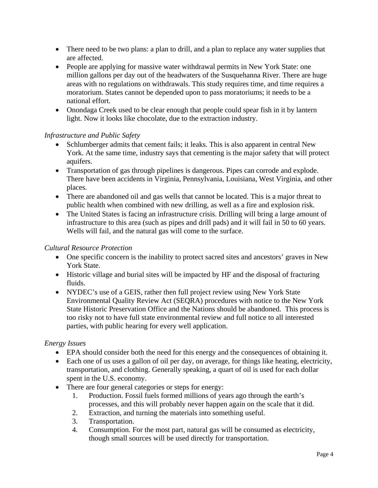- There need to be two plans: a plan to drill, and a plan to replace any water supplies that are affected.
- People are applying for massive water withdrawal permits in New York State: one million gallons per day out of the headwaters of the Susquehanna River. There are huge areas with no regulations on withdrawals. This study requires time, and time requires a moratorium. States cannot be depended upon to pass moratoriums; it needs to be a national effort.
- Onondaga Creek used to be clear enough that people could spear fish in it by lantern light. Now it looks like chocolate, due to the extraction industry.

#### *Infrastructure and Public Safety*

- Schlumberger admits that cement fails; it leaks. This is also apparent in central New York. At the same time, industry says that cementing is the major safety that will protect aquifers.
- Transportation of gas through pipelines is dangerous. Pipes can corrode and explode. There have been accidents in Virginia, Pennsylvania, Louisiana, West Virginia, and other places.
- There are abandoned oil and gas wells that cannot be located. This is a major threat to public health when combined with new drilling, as well as a fire and explosion risk.
- The United States is facing an infrastructure crisis. Drilling will bring a large amount of infrastructure to this area (such as pipes and drill pads) and it will fail in 50 to 60 years. Wells will fail, and the natural gas will come to the surface.

#### *Cultural Resource Protection*

- One specific concern is the inability to protect sacred sites and ancestors' graves in New York State.
- Historic village and burial sites will be impacted by HF and the disposal of fracturing fluids.
- NYDEC's use of a GEIS, rather then full project review using New York State Environmental Quality Review Act (SEQRA) procedures with notice to the New York State Historic Preservation Office and the Nations should be abandoned. This process is too risky not to have full state environmental review and full notice to all interested parties, with public hearing for every well application.

#### *Energy Issues*

- EPA should consider both the need for this energy and the consequences of obtaining it.
- Each one of us uses a gallon of oil per day, on average, for things like heating, electricity, transportation, and clothing. Generally speaking, a quart of oil is used for each dollar spent in the U.S. economy.
- There are four general categories or steps for energy:
	- 1. Production. Fossil fuels formed millions of years ago through the earth's processes, and this will probably never happen again on the scale that it did.
	- 2. Extraction, and turning the materials into something useful.
	- 3. Transportation.
	- 4. Consumption. For the most part, natural gas will be consumed as electricity, though small sources will be used directly for transportation.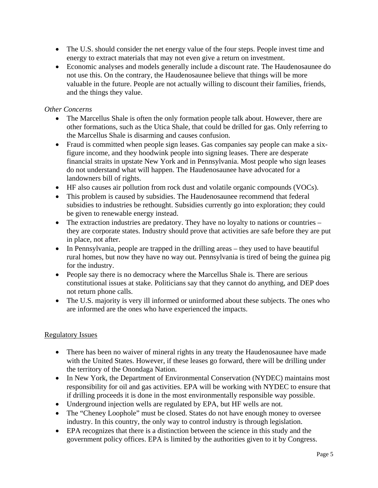- The U.S. should consider the net energy value of the four steps. People invest time and energy to extract materials that may not even give a return on investment.
- Economic analyses and models generally include a discount rate. The Haudenosaunee do not use this. On the contrary, the Haudenosaunee believe that things will be more valuable in the future. People are not actually willing to discount their families, friends, and the things they value.

## *Other Concerns*

- The Marcellus Shale is often the only formation people talk about. However, there are other formations, such as the Utica Shale, that could be drilled for gas. Only referring to the Marcellus Shale is disarming and causes confusion.
- Fraud is committed when people sign leases. Gas companies say people can make a sixfigure income, and they hoodwink people into signing leases. There are desperate financial straits in upstate New York and in Pennsylvania. Most people who sign leases do not understand what will happen. The Haudenosaunee have advocated for a landowners bill of rights.
- HF also causes air pollution from rock dust and volatile organic compounds (VOCs).
- This problem is caused by subsidies. The Haudenosaunee recommend that federal subsidies to industries be rethought. Subsidies currently go into exploration; they could be given to renewable energy instead.
- The extraction industries are predatory. They have no loyalty to nations or countries they are corporate states. Industry should prove that activities are safe before they are put in place, not after.
- In Pennsylvania, people are trapped in the drilling areas they used to have beautiful rural homes, but now they have no way out. Pennsylvania is tired of being the guinea pig for the industry.
- People say there is no democracy where the Marcellus Shale is. There are serious constitutional issues at stake. Politicians say that they cannot do anything, and DEP does not return phone calls.
- The U.S. majority is very ill informed or uninformed about these subjects. The ones who are informed are the ones who have experienced the impacts.

#### Regulatory Issues

- There has been no waiver of mineral rights in any treaty the Haudenosaunee have made with the United States. However, if these leases go forward, there will be drilling under the territory of the Onondaga Nation.
- In New York, the Department of Environmental Conservation (NYDEC) maintains most responsibility for oil and gas activities. EPA will be working with NYDEC to ensure that if drilling proceeds it is done in the most environmentally responsible way possible.
- Underground injection wells are regulated by EPA, but HF wells are not.
- The "Cheney Loophole" must be closed. States do not have enough money to oversee industry. In this country, the only way to control industry is through legislation.
- EPA recognizes that there is a distinction between the science in this study and the government policy offices. EPA is limited by the authorities given to it by Congress.